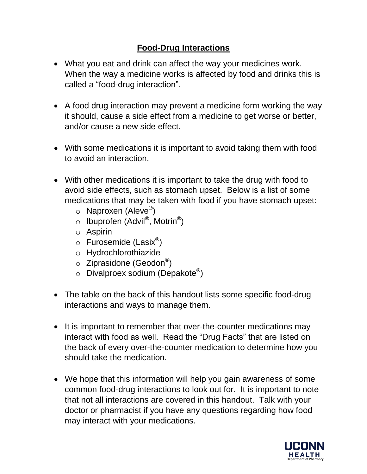## **Food-Drug Interactions**

- What you eat and drink can affect the way your medicines work. When the way a medicine works is affected by food and drinks this is called a "food-drug interaction".
- A food drug interaction may prevent a medicine form working the way it should, cause a side effect from a medicine to get worse or better, and/or cause a new side effect.
- With some medications it is important to avoid taking them with food to avoid an interaction.
- With other medications it is important to take the drug with food to avoid side effects, such as stomach upset. Below is a list of some medications that may be taken with food if you have stomach upset:
	- o Naproxen (Aleve®)
	- o Ibuprofen (Advil®, Motrin®)
	- o Aspirin
	- o Furosemide (Lasix<sup>®</sup>)
	- o Hydrochlorothiazide
	- $\circ$  Ziprasidone (Geodon®)
	- $\circ$  Divalproex sodium (Depakote®)
- The table on the back of this handout lists some specific food-drug interactions and ways to manage them.
- It is important to remember that over-the-counter medications may interact with food as well. Read the "Drug Facts" that are listed on the back of every over-the-counter medication to determine how you should take the medication.
- We hope that this information will help you gain awareness of some common food-drug interactions to look out for. It is important to note that not all interactions are covered in this handout. Talk with your doctor or pharmacist if you have any questions regarding how food may interact with your medications.